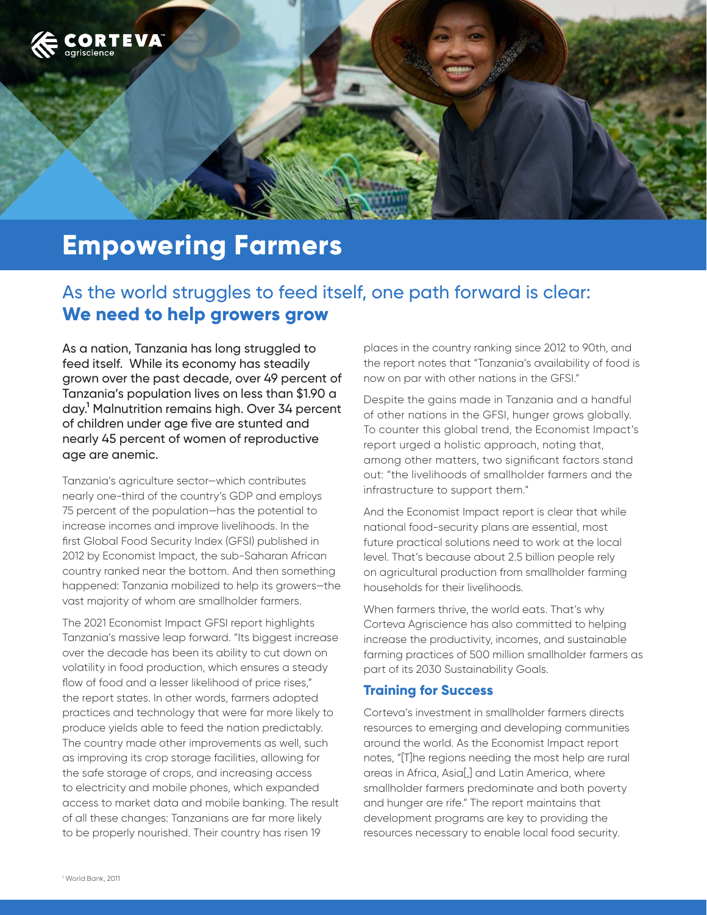

# **Empowering Farmers**

## As the world struggles to feed itself, one path forward is clear: **We need to help growers grow**

As a nation, Tanzania has long struggled to feed itself. While its economy has steadily grown over the past decade, over 49 percent of Tanzania's population lives on less than \$1.90 a day.1 Malnutrition remains high. Over 34 percent of children under age five are stunted and nearly 45 percent of women of reproductive age are anemic.

Tanzania's agriculture sector—which contributes nearly one-third of the country's GDP and employs 75 percent of the population—has the potential to increase incomes and improve livelihoods. In the first Global Food Security Index (GFSI) published in 2012 by Economist Impact, the sub-Saharan African country ranked near the bottom. And then something happened: Tanzania mobilized to help its growers—the vast majority of whom are smallholder farmers.

The 2021 Economist Impact GFSI report highlights Tanzania's massive leap forward. "Its biggest increase over the decade has been its ability to cut down on volatility in food production, which ensures a steady flow of food and a lesser likelihood of price rises," the report states. In other words, farmers adopted practices and technology that were far more likely to produce yields able to feed the nation predictably. The country made other improvements as well, such as improving its crop storage facilities, allowing for the safe storage of crops, and increasing access to electricity and mobile phones, which expanded access to market data and mobile banking. The result of all these changes: Tanzanians are far more likely to be properly nourished. Their country has risen 19

places in the country ranking since 2012 to 90th, and the report notes that "Tanzania's availability of food is now on par with other nations in the GFSI."

Despite the gains made in Tanzania and a handful of other nations in the GFSI, hunger grows globally. To counter this global trend, the Economist Impact's report urged a holistic approach, noting that, among other matters, two significant factors stand out: "the livelihoods of smallholder farmers and the infrastructure to support them."

And the Economist Impact report is clear that while national food-security plans are essential, most future practical solutions need to work at the local level. That's because about 2.5 billion people rely on agricultural production from smallholder farming households for their livelihoods.

When farmers thrive, the world eats. That's why Corteva Agriscience has also committed to helping increase the productivity, incomes, and sustainable farming practices of 500 million smallholder farmers as part of its 2030 Sustainability Goals.

#### **Training for Success**

Corteva's investment in smallholder farmers directs resources to emerging and developing communities around the world. As the Economist Impact report notes, "[T]he regions needing the most help are rural areas in Africa, Asia[,] and Latin America, where smallholder farmers predominate and both poverty and hunger are rife." The report maintains that development programs are key to providing the resources necessary to enable local food security.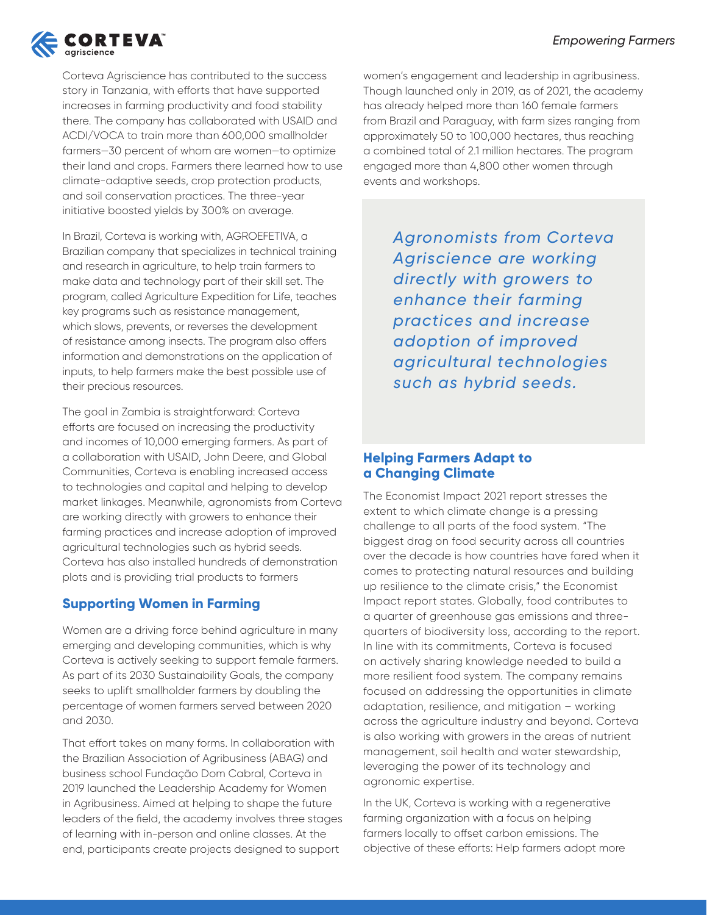

Corteva Agriscience has contributed to the success story in Tanzania, with efforts that have supported increases in farming productivity and food stability there. The company has collaborated with USAID and ACDI/VOCA to train more than 600,000 smallholder farmers—30 percent of whom are women—to optimize their land and crops. Farmers there learned how to use climate-adaptive seeds, crop protection products, and soil conservation practices. The three-year initiative boosted yields by 300% on average.

In Brazil, Corteva is working with, AGROEFETIVA, a Brazilian company that specializes in technical training and research in agriculture, to help train farmers to make data and technology part of their skill set. The program, called Agriculture Expedition for Life, teaches key programs such as resistance management, which slows, prevents, or reverses the development of resistance among insects. The program also offers information and demonstrations on the application of inputs, to help farmers make the best possible use of their precious resources.

The goal in Zambia is straightforward: Corteva efforts are focused on increasing the productivity and incomes of 10,000 emerging farmers. As part of a collaboration with USAID, John Deere, and Global Communities, Corteva is enabling increased access to technologies and capital and helping to develop market linkages. Meanwhile, agronomists from Corteva are working directly with growers to enhance their farming practices and increase adoption of improved agricultural technologies such as hybrid seeds. Corteva has also installed hundreds of demonstration plots and is providing trial products to farmers

#### **Supporting Women in Farming**

Women are a driving force behind agriculture in many emerging and developing communities, which is why Corteva is actively seeking to support female farmers. As part of its 2030 Sustainability Goals, the company seeks to uplift smallholder farmers by doubling the percentage of women farmers served between 2020 and 2030.

That effort takes on many forms. In collaboration with the Brazilian Association of Agribusiness (ABAG) and business school Fundação Dom Cabral, Corteva in 2019 launched the Leadership Academy for Women in Agribusiness. Aimed at helping to shape the future leaders of the field, the academy involves three stages of learning with in-person and online classes. At the end, participants create projects designed to support

women's engagement and leadership in agribusiness. Though launched only in 2019, as of 2021, the academy has already helped more than 160 female farmers from Brazil and Paraguay, with farm sizes ranging from approximately 50 to 100,000 hectares, thus reaching a combined total of 2.1 million hectares. The program engaged more than 4,800 other women through events and workshops.

> *Agronomists from Corteva Agriscience are working directly with growers to enhance their farming practices and increase adoption of improved agricultural technologies such as hybrid seeds.*

### **Helping Farmers Adapt to a Changing Climate**

The Economist Impact 2021 report stresses the extent to which climate change is a pressing challenge to all parts of the food system. "The biggest drag on food security across all countries over the decade is how countries have fared when it comes to protecting natural resources and building up resilience to the climate crisis," the Economist Impact report states. Globally, food contributes to a quarter of greenhouse gas emissions and threequarters of biodiversity loss, according to the report. In line with its commitments, Corteva is focused on actively sharing knowledge needed to build a more resilient food system. The company remains focused on addressing the opportunities in climate adaptation, resilience, and mitigation – working across the agriculture industry and beyond. Corteva is also working with growers in the areas of nutrient management, soil health and water stewardship, leveraging the power of its technology and agronomic expertise.

In the UK, Corteva is working with a regenerative farming organization with a focus on helping farmers locally to offset carbon emissions. The objective of these efforts: Help farmers adopt more